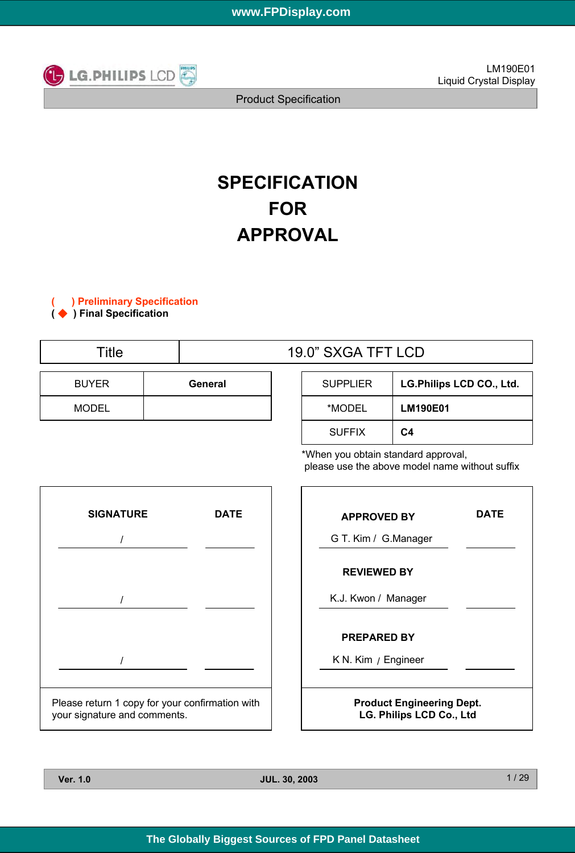

Product Specification

# **SPECIFICATION FOR APPROVAL**

**( ) Preliminary Specification (** ◆ **) Final Specification**

| Title        |         | 19.0" SXGA TFT LCD |                 |       |  |  |
|--------------|---------|--------------------|-----------------|-------|--|--|
| <b>BUYER</b> | General |                    | <b>SUPPLIER</b> | LG.Ph |  |  |
| <b>MODEL</b> |         |                    | *MODEL          | LM19  |  |  |

| <b>SUPPLIER</b> | LG.Philips LCD CO., Ltd. |
|-----------------|--------------------------|
| *MODEL          | <b>LM190E01</b>          |
| <b>SUFFIX</b>   | C4                       |

\*When you obtain standard approval, please use the above model name without suffix



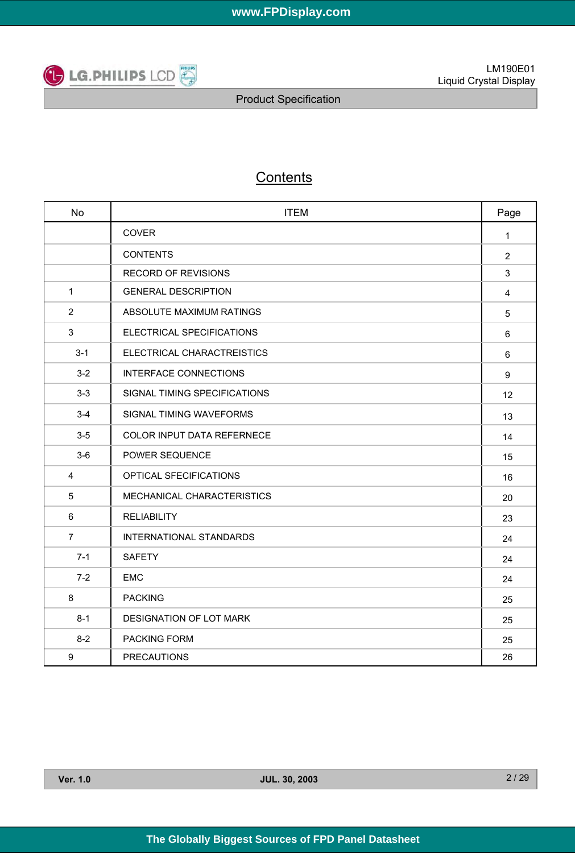

# **Contents**

| <b>No</b>      | <b>ITEM</b>                  | Page           |
|----------------|------------------------------|----------------|
|                | COVER                        | 1              |
|                | <b>CONTENTS</b>              | $\overline{2}$ |
|                | <b>RECORD OF REVISIONS</b>   | 3              |
| $\mathbf{1}$   | <b>GENERAL DESCRIPTION</b>   | 4              |
| 2              | ABSOLUTE MAXIMUM RATINGS     | 5              |
| 3              | ELECTRICAL SPECIFICATIONS    | 6              |
| $3 - 1$        | ELECTRICAL CHARACTREISTICS   | 6              |
| $3-2$          | <b>INTERFACE CONNECTIONS</b> | 9              |
| $3-3$          | SIGNAL TIMING SPECIFICATIONS | 12             |
| $3 - 4$        | SIGNAL TIMING WAVEFORMS      | 13             |
| $3-5$          | COLOR INPUT DATA REFERNECE   | 14             |
| $3-6$          | POWER SEQUENCE               | 15             |
| 4              | OPTICAL SFECIFICATIONS       | 16             |
| 5              | MECHANICAL CHARACTERISTICS   | 20             |
| 6              | <b>RELIABILITY</b>           | 23             |
| $\overline{7}$ | INTERNATIONAL STANDARDS      | 24             |
| $7 - 1$        | <b>SAFETY</b>                | 24             |
| $7 - 2$        | <b>EMC</b>                   | 24             |
| 8              | <b>PACKING</b>               | 25             |
| $8 - 1$        | DESIGNATION OF LOT MARK      | 25             |
| $8 - 2$        | <b>PACKING FORM</b>          | 25             |
| 9              | <b>PRECAUTIONS</b>           | 26             |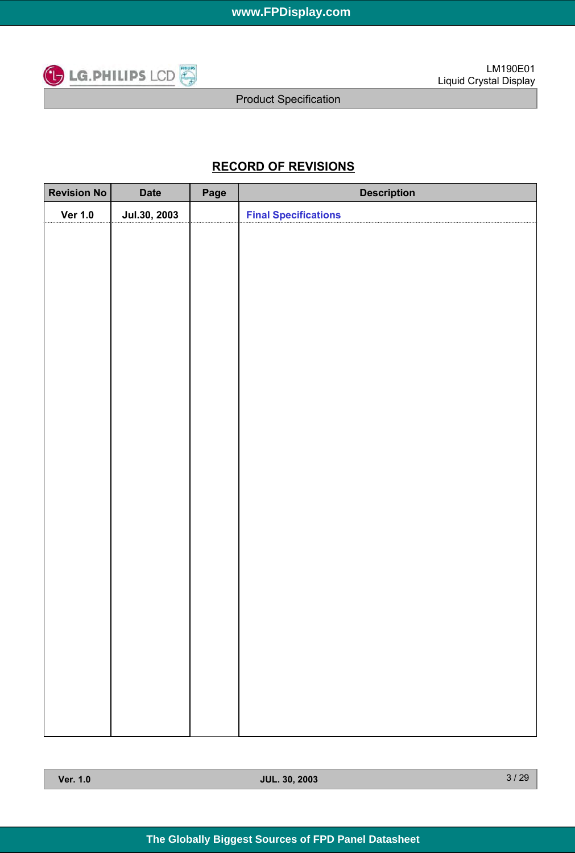

# **RECORD OF REVISIONS**

| <b>Revision No</b> | <b>Date</b>  | Page | <b>Description</b>          |
|--------------------|--------------|------|-----------------------------|
| <b>Ver 1.0</b>     | Jul.30, 2003 |      | <b>Final Specifications</b> |
|                    |              |      |                             |
|                    |              |      |                             |
|                    |              |      |                             |
|                    |              |      |                             |
|                    |              |      |                             |
|                    |              |      |                             |
|                    |              |      |                             |
|                    |              |      |                             |
|                    |              |      |                             |
|                    |              |      |                             |
|                    |              |      |                             |
|                    |              |      |                             |
|                    |              |      |                             |
|                    |              |      |                             |
|                    |              |      |                             |
|                    |              |      |                             |
|                    |              |      |                             |
|                    |              |      |                             |
|                    |              |      |                             |
|                    |              |      |                             |
|                    |              |      |                             |
|                    |              |      |                             |
|                    |              |      |                             |
|                    |              |      |                             |
|                    |              |      |                             |
|                    |              |      |                             |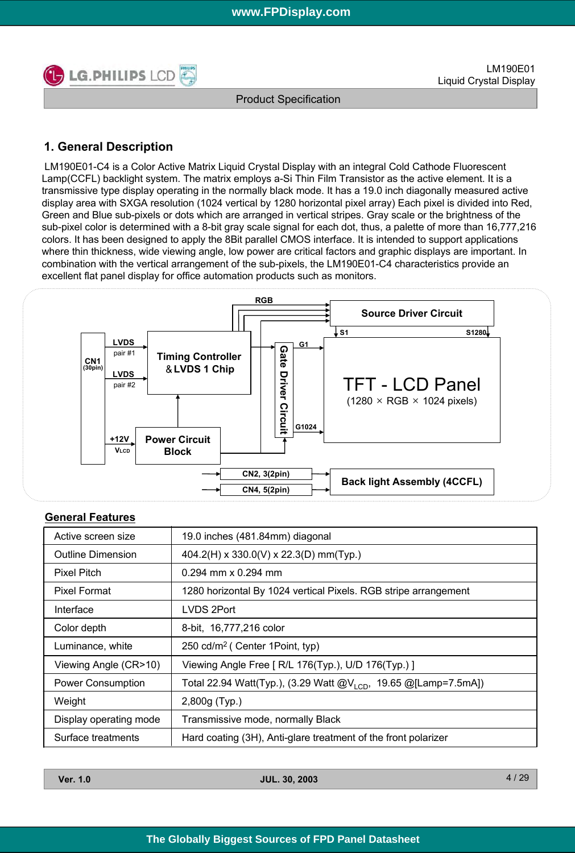

29

Product Specification

# **1. General Description**

LM190E01-C4 is a Color Active Matrix Liquid Crystal Display with an integral Cold Cathode Fluorescent Lamp(CCFL) backlight system. The matrix employs a-Si Thin Film Transistor as the active element. It is a transmissive type display operating in the normally black mode. It has a 19.0 inch diagonally measured active display area with SXGA resolution (1024 vertical by 1280 horizontal pixel array) Each pixel is divided into Red, Green and Blue sub-pixels or dots which are arranged in vertical stripes. Gray scale or the brightness of the sub-pixel color is determined with a 8-bit gray scale signal for each dot, thus, a palette of more than 16,777,216 colors. It has been designed to apply the 8Bit parallel CMOS interface. It is intended to support applications where thin thickness, wide viewing angle, low power are critical factors and graphic displays are important. In combination with the vertical arrangement of the sub-pixels, the LM190E01-C4 characteristics provide an excellent flat panel display for office automation products such as monitors.



### **General Features**

| Active screen size       | 19.0 inches (481.84mm) diagonal                                              |
|--------------------------|------------------------------------------------------------------------------|
| <b>Outline Dimension</b> | 404.2(H) x 330.0(V) x 22.3(D) mm(Typ.)                                       |
| <b>Pixel Pitch</b>       | $0.294$ mm x $0.294$ mm                                                      |
| <b>Pixel Format</b>      | 1280 horizontal By 1024 vertical Pixels. RGB stripe arrangement              |
| Interface                | LVDS 2Port                                                                   |
| Color depth              | 8-bit, 16,777,216 color                                                      |
| Luminance, white         | 250 cd/m <sup>2</sup> ( Center 1 Point, typ)                                 |
| Viewing Angle (CR>10)    | Viewing Angle Free [ R/L 176(Typ.), U/D 176(Typ.) ]                          |
| <b>Power Consumption</b> | Total 22.94 Watt(Typ.), (3.29 Watt $@V_{1 \text{CD}}$ , 19.65 @[Lamp=7.5mA]) |
| Weight                   | 2,800g (Typ.)                                                                |
| Display operating mode   | Transmissive mode, normally Black                                            |
| Surface treatments       | Hard coating (3H), Anti-glare treatment of the front polarizer               |

| <b>Ver. 1.0</b> | <b>JUL. 30, 2003</b> | $\mathbf{\Lambda}$ |
|-----------------|----------------------|--------------------|
|                 |                      |                    |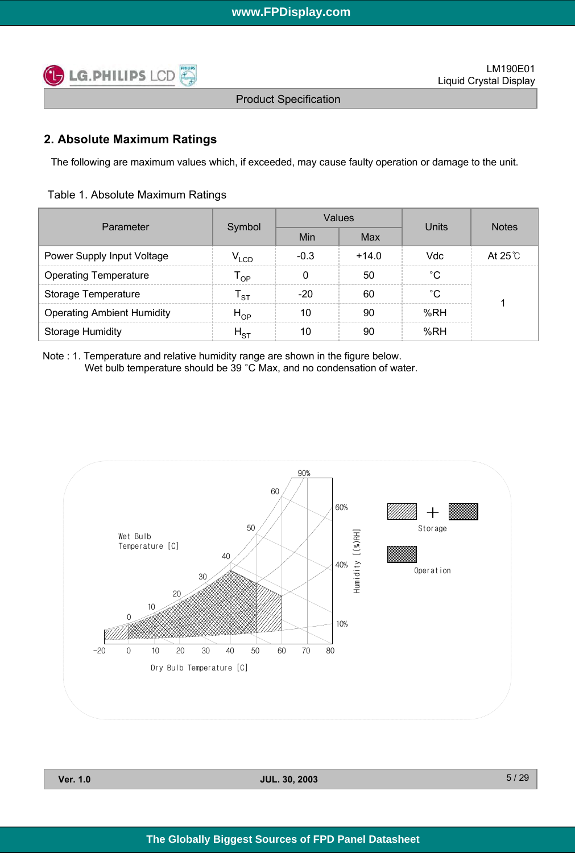

## **2. Absolute Maximum Ratings**

The following are maximum values which, if exceeded, may cause faulty operation or damage to the unit.

| Table 1. Absolute Maximum Ratings |  |  |
|-----------------------------------|--|--|
|-----------------------------------|--|--|

| Parameter                         | Symbol                           |        | <b>Values</b> | Units | <b>Notes</b>    |  |
|-----------------------------------|----------------------------------|--------|---------------|-------|-----------------|--|
|                                   |                                  | Min    | Max           |       |                 |  |
| Power Supply Input Voltage        | $\mathsf{v}_{\text{\tiny{LCD}}}$ | $-0.3$ | $+14.0$       | Vdc   | At $25^\circ$ C |  |
| <b>Operating Temperature</b>      | $\mathsf{r}_{\mathsf{op}}$       |        | 50            | °C    |                 |  |
| <b>Storage Temperature</b>        | י sт                             | $-20$  | 60            | °C    |                 |  |
| <b>Operating Ambient Humidity</b> | $H_{OP}$                         | 10     | 90            | %RH   |                 |  |
| <b>Storage Humidity</b>           | $H_{\rm ST}$                     | 10     | 90            | %RH   |                 |  |

Note : 1. Temperature and relative humidity range are shown in the figure below. Wet bulb temperature should be 39 °C Max, and no condensation of water.



| Ver. |  |
|------|--|
|      |  |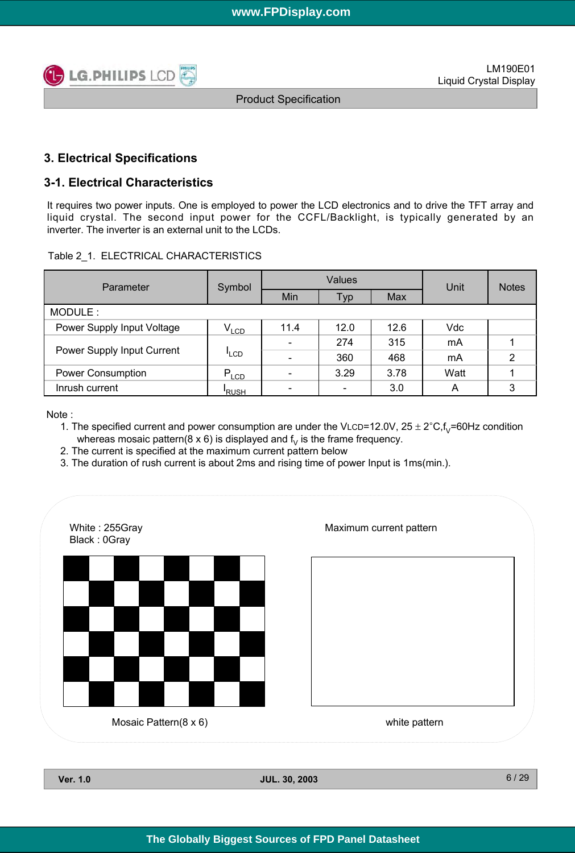

### **3. Electrical Specifications**

### **3-1. Electrical Characteristics**

It requires two power inputs. One is employed to power the LCD electronics and to drive the TFT array and liquid crystal. The second input power for the CCFL/Backlight, is typically generated by an inverter. The inverter is an external unit to the LCDs.

|  |  | Table 2 1. ELECTRICAL CHARACTERISTICS |
|--|--|---------------------------------------|
|--|--|---------------------------------------|

| Parameter                  | Symbol           | <b>Values</b> |      |      | Unit | <b>Notes</b> |
|----------------------------|------------------|---------------|------|------|------|--------------|
|                            |                  | Min<br>Тур    |      | Max  |      |              |
| MODULE:                    |                  |               |      |      |      |              |
| Power Supply Input Voltage | $V_{LCD}$        | 11.4          | 12.0 | 12.6 | Vdc  |              |
|                            |                  |               | 274  | 315  | mA   |              |
| Power Supply Input Current | <sup>I</sup> LCD |               | 360  | 468  | mA   | 2            |
| <b>Power Consumption</b>   | $P_{LCD}$        |               | 3.29 | 3.78 | Watt |              |
| Inrush current             | <b>RUSH</b>      |               |      | 3.0  | A    | 3            |

Note :

- 1. The specified current and power consumption are under the VLCD=12.0V,  $25 \pm 2^{\circ}C$ , f<sub>V</sub>=60Hz condition whereas mosaic pattern( $8 \times 6$ ) is displayed and  $f<sub>v</sub>$  is the frame frequency.
- 2. The current is specified at the maximum current pattern below
- 3. The duration of rush current is about 2ms and rising time of power Input is 1ms(min.).

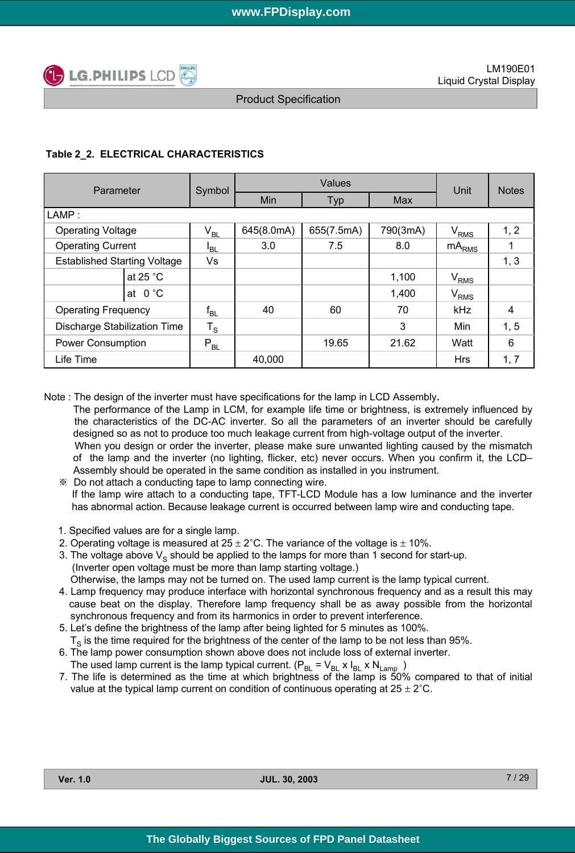

### **Table 2\_2. ELECTRICAL CHARACTERISTICS**

| Parameter                           | Symbol                     | Values     |            |          | Unit             | <b>Notes</b> |
|-------------------------------------|----------------------------|------------|------------|----------|------------------|--------------|
|                                     |                            | Min<br>Typ |            | Max      |                  |              |
| LAMP:                               |                            |            |            |          |                  |              |
| <b>Operating Voltage</b>            | $\mathsf{V}_{\mathsf{BL}}$ | 645(8.0mA) | 655(7.5mA) | 790(3mA) | $\rm V_{RMS}$    | 1, 2         |
| <b>Operating Current</b>            | <sup>I</sup> BL            | 3.0        | 7.5        | 8.0      | $mA_{RMS}$       |              |
| <b>Established Starting Voltage</b> | Vs                         |            |            |          |                  | 1, 3         |
| at 25 $^{\circ}$ C                  |                            |            |            | 1,100    | V <sub>RMS</sub> |              |
| at $0^{\circ}$ C                    |                            |            |            | 1,400    | V <sub>RMS</sub> |              |
| <b>Operating Frequency</b>          | $f_{BL}$                   | 40         | 60         | 70       | <b>kHz</b>       | 4            |
| Discharge Stabilization Time        | $T_S$                      |            |            | 3        | Min              | 1, 5         |
| <b>Power Consumption</b>            | $P_{BL}$                   |            | 19.65      | 21.62    | Watt             | 6            |
| Life Time                           |                            | 40,000     |            |          | <b>Hrs</b>       | 1, 7         |

Note : The design of the inverter must have specifications for the lamp in LCD Assembly**.**

The performance of the Lamp in LCM, for example life time or brightness, is extremely influenced by the characteristics of the DC-AC inverter. So all the parameters of an inverter should be carefully designed so as not to produce too much leakage current from high-voltage output of the inverter. When you design or order the inverter, please make sure unwanted lighting caused by the mismatch of the lamp and the inverter (no lighting, flicker, etc) never occurs. When you confirm it, the LCD– Assembly should be operated in the same condition as installed in you instrument.

- ※ Do not attach a conducting tape to lamp connecting wire. If the lamp wire attach to a conducting tape, TFT-LCD Module has a low luminance and the inverter has abnormal action. Because leakage current is occurred between lamp wire and conducting tape.
- 1. Specified values are for a single lamp.
- 2. Operating voltage is measured at  $25 \pm 2^{\circ}$ C. The variance of the voltage is  $\pm$  10%.
- 3. The voltage above  $V<sub>S</sub>$  should be applied to the lamps for more than 1 second for start-up. (Inverter open voltage must be more than lamp starting voltage.)

Otherwise, the lamps may not be turned on. The used lamp current is the lamp typical current.

- 4. Lamp frequency may produce interface with horizontal synchronous frequency and as a result this may cause beat on the display. Therefore lamp frequency shall be as away possible from the horizontal synchronous frequency and from its harmonics in order to prevent interference.
- 5. Let's define the brightness of the lamp after being lighted for 5 minutes as 100%.  $T<sub>S</sub>$  is the time required for the brightness of the center of the lamp to be not less than 95%.
- 6. The lamp power consumption shown above does not include loss of external inverter. The used lamp current is the lamp typical current.  $(P_{BL} = V_{BL} \times I_{BL} \times N_{Lamp} )$
- 7. The life is determined as the time at which brightness of the lamp is 50% compared to that of initial value at the typical lamp current on condition of continuous operating at  $25 \pm 2^{\circ}$ C.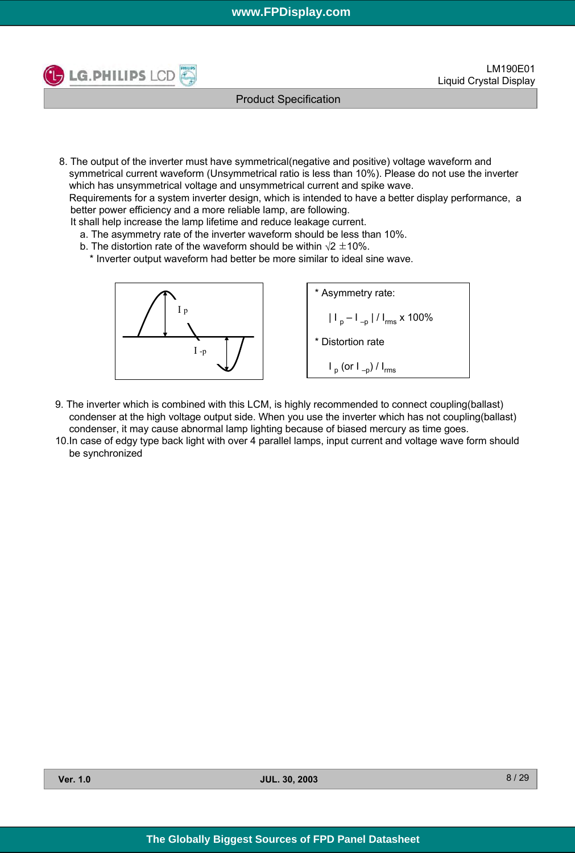

Product Specification

8. The output of the inverter must have symmetrical(negative and positive) voltage waveform and symmetrical current waveform (Unsymmetrical ratio is less than 10%). Please do not use the inverter which has unsymmetrical voltage and unsymmetrical current and spike wave.

Requirements for a system inverter design, which is intended to have a better display performance, a better power efficiency and a more reliable lamp, are following.

It shall help increase the lamp lifetime and reduce leakage current.

- a. The asymmetry rate of the inverter waveform should be less than 10%.
- b. The distortion rate of the waveform should be within  $\sqrt{2} \pm 10\%$ .
- \* Inverter output waveform had better be more similar to ideal sine wave.



\* Asymmetry rate:  
\n
$$
|I_{p} - I_{-p}| / I_{rms} \times 100\%
$$
\n\* Distortion rate  
\n
$$
I_{p} (or I_{-p}) / I_{rms}
$$

- 9. The inverter which is combined with this LCM, is highly recommended to connect coupling(ballast) condenser at the high voltage output side. When you use the inverter which has not coupling(ballast) condenser, it may cause abnormal lamp lighting because of biased mercury as time goes.
- 10.In case of edgy type back light with over 4 parallel lamps, input current and voltage wave form should be synchronized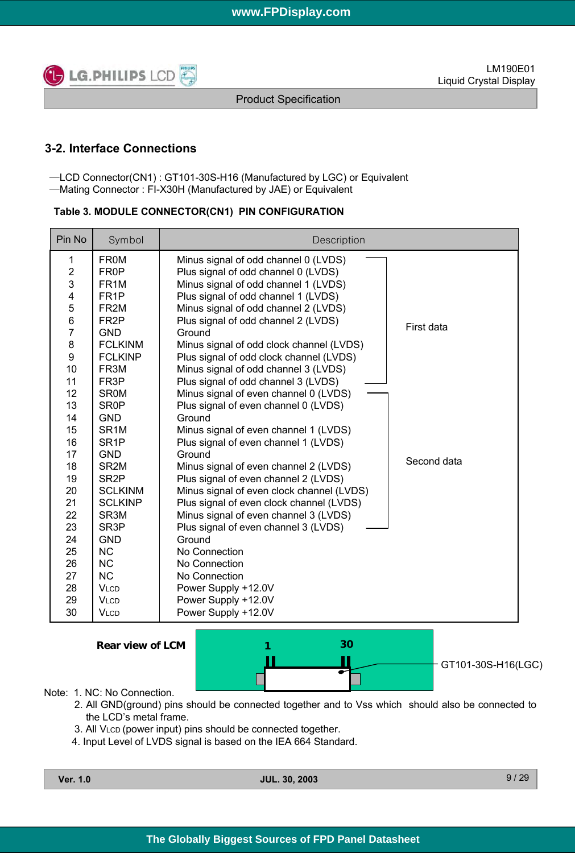

Product Specification

# **3-2. Interface Connections**

─LCD Connector(CN1) : GT101-30S-H16 (Manufactured by LGC) or Equivalent ─Mating Connector : FI-X30H (Manufactured by JAE) or Equivalent

#### **Table 3. MODULE CONNECTOR(CN1) PIN CONFIGURATION**

| Pin No                  | Symbol            | Description                               |             |
|-------------------------|-------------------|-------------------------------------------|-------------|
| 1                       | <b>FR0M</b>       | Minus signal of odd channel 0 (LVDS)      |             |
| $\boldsymbol{2}$        | FR <sub>0</sub> P | Plus signal of odd channel 0 (LVDS)       |             |
| 3                       | FR <sub>1</sub> M | Minus signal of odd channel 1 (LVDS)      |             |
| $\overline{\mathbf{4}}$ | FR <sub>1</sub> P | Plus signal of odd channel 1 (LVDS)       |             |
| 5                       | FR <sub>2M</sub>  | Minus signal of odd channel 2 (LVDS)      |             |
| $\,6$                   | FR <sub>2</sub> P | Plus signal of odd channel 2 (LVDS)       | First data  |
| $\overline{7}$          | <b>GND</b>        | Ground                                    |             |
| 8                       | <b>FCLKINM</b>    | Minus signal of odd clock channel (LVDS)  |             |
| 9                       | <b>FCLKINP</b>    | Plus signal of odd clock channel (LVDS)   |             |
| 10                      | FR <sub>3</sub> M | Minus signal of odd channel 3 (LVDS)      |             |
| 11                      | FR <sub>3</sub> P | Plus signal of odd channel 3 (LVDS)       |             |
| 12                      | <b>SROM</b>       | Minus signal of even channel 0 (LVDS)     |             |
| 13                      | <b>SR0P</b>       | Plus signal of even channel 0 (LVDS)      |             |
| 14                      | <b>GND</b>        | Ground                                    |             |
| 15                      | SR <sub>1</sub> M | Minus signal of even channel 1 (LVDS)     |             |
| 16                      | SR <sub>1</sub> P | Plus signal of even channel 1 (LVDS)      |             |
| 17                      | <b>GND</b>        | Ground                                    | Second data |
| 18                      | SR <sub>2M</sub>  | Minus signal of even channel 2 (LVDS)     |             |
| 19                      | SR <sub>2</sub> P | Plus signal of even channel 2 (LVDS)      |             |
| 20                      | <b>SCLKINM</b>    | Minus signal of even clock channel (LVDS) |             |
| 21                      | <b>SCLKINP</b>    | Plus signal of even clock channel (LVDS)  |             |
| 22                      | SR <sub>3</sub> M | Minus signal of even channel 3 (LVDS)     |             |
| 23                      | SR <sub>3</sub> P | Plus signal of even channel 3 (LVDS)      |             |
| 24                      | <b>GND</b>        | Ground                                    |             |
| 25                      | <b>NC</b>         | No Connection                             |             |
| 26                      | <b>NC</b>         | No Connection                             |             |
| 27                      | <b>NC</b>         | No Connection                             |             |
| 28                      | <b>VLCD</b>       | Power Supply +12.0V                       |             |
| 29                      | <b>VLCD</b>       | Power Supply +12.0V                       |             |
| 30                      | <b>VLCD</b>       | Power Supply +12.0V                       |             |

**Rear view of LCM**



#### Note: 1. NC: No Connection.

- 2. All GND(ground) pins should be connected together and to Vss which should also be connected to the LCD's metal frame.
- 3. All VLCD (power input) pins should be connected together.
- 4. Input Level of LVDS signal is based on the IEA 664 Standard.

| Ver. | 1.0 |
|------|-----|
|      |     |

**Ver. 1.0 JUL. 30, 2003**

9 / 29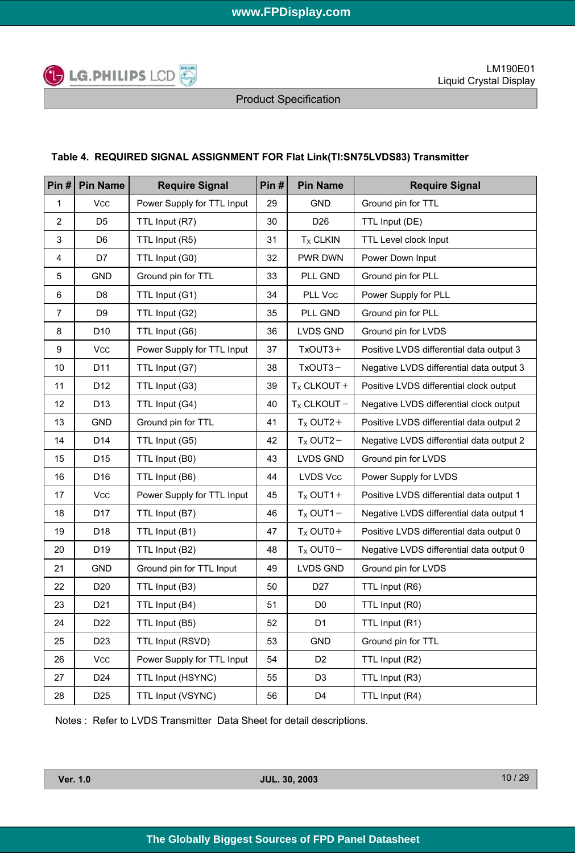

### **Table 4. REQUIRED SIGNAL ASSIGNMENT FOR Flat Link(TI:SN75LVDS83) Transmitter**

| Pin#           | <b>Pin Name</b> | <b>Require Signal</b>      | Pin# | <b>Pin Name</b>  | <b>Require Signal</b>                    |
|----------------|-----------------|----------------------------|------|------------------|------------------------------------------|
| $\mathbf{1}$   | <b>Vcc</b>      | Power Supply for TTL Input | 29   | <b>GND</b>       | Ground pin for TTL                       |
| $\overline{2}$ | D <sub>5</sub>  | TTL Input (R7)             | 30   | D <sub>26</sub>  | TTL Input (DE)                           |
| 3              | D <sub>6</sub>  | TTL Input (R5)             | 31   | $TX$ CLKIN       | TTL Level clock Input                    |
| 4              | D7              | TTL Input (G0)             | 32   | PWR DWN          | Power Down Input                         |
| 5              | <b>GND</b>      | Ground pin for TTL         | 33   | PLL GND          | Ground pin for PLL                       |
| 6              | D <sub>8</sub>  | TTL Input (G1)             | 34   | PLL Vcc          | Power Supply for PLL                     |
| $\overline{7}$ | D <sub>9</sub>  | TTL Input (G2)             | 35   | PLL GND          | Ground pin for PLL                       |
| 8              | D <sub>10</sub> | TTL Input (G6)             | 36   | <b>LVDS GND</b>  | Ground pin for LVDS                      |
| 9              | <b>Vcc</b>      | Power Supply for TTL Input | 37   | $TxOUT3 +$       | Positive LVDS differential data output 3 |
| $10$           | D11             | TTL Input (G7)             | 38   | $TxOUT3 -$       | Negative LVDS differential data output 3 |
| 11             | D12             | TTL Input (G3)             | 39   | $T_X$ CLKOUT +   | Positive LVDS differential clock output  |
| 12             | D <sub>13</sub> | TTL Input (G4)             | 40   | $T_X$ CLKOUT $-$ | Negative LVDS differential clock output  |
| 13             | <b>GND</b>      | Ground pin for TTL         | 41   | $T_X$ OUT2+      | Positive LVDS differential data output 2 |
| 14             | D14             | TTL Input (G5)             | 42   | $T_x$ OUT2 -     | Negative LVDS differential data output 2 |
| 15             | D <sub>15</sub> | TTL Input (B0)             | 43   | <b>LVDS GND</b>  | Ground pin for LVDS                      |
| 16             | D <sub>16</sub> | TTL Input (B6)             | 44   | <b>LVDS Vcc</b>  | Power Supply for LVDS                    |
| 17             | <b>Vcc</b>      | Power Supply for TTL Input | 45   | $T_X$ OUT1+      | Positive LVDS differential data output 1 |
| 18             | D17             | TTL Input (B7)             | 46   | $T_X$ OUT1 -     | Negative LVDS differential data output 1 |
| 19             | D18             | TTL Input (B1)             | 47   | $T_X$ OUT0+      | Positive LVDS differential data output 0 |
| 20             | D <sub>19</sub> | TTL Input (B2)             | 48   | $T_X$ OUT0-      | Negative LVDS differential data output 0 |
| 21             | <b>GND</b>      | Ground pin for TTL Input   | 49   | <b>LVDS GND</b>  | Ground pin for LVDS                      |
| 22             | D <sub>20</sub> | TTL Input (B3)             | 50   | D <sub>27</sub>  | TTL Input (R6)                           |
| 23             | D <sub>21</sub> | TTL Input (B4)             | 51   | D <sub>0</sub>   | TTL Input (R0)                           |
| 24             | D <sub>22</sub> | TTL Input (B5)             | 52   | D <sub>1</sub>   | TTL Input (R1)                           |
| 25             | D <sub>23</sub> | TTL Input (RSVD)           | 53   | GND              | Ground pin for TTL                       |
| 26             | Vcc             | Power Supply for TTL Input | 54   | D <sub>2</sub>   | TTL Input (R2)                           |
| 27             | D <sub>24</sub> | TTL Input (HSYNC)          | 55   | D <sub>3</sub>   | TTL Input (R3)                           |
| 28             | D <sub>25</sub> | TTL Input (VSYNC)          | 56   | D4               | TTL Input (R4)                           |

Notes : Refer to LVDS Transmitter Data Sheet for detail descriptions.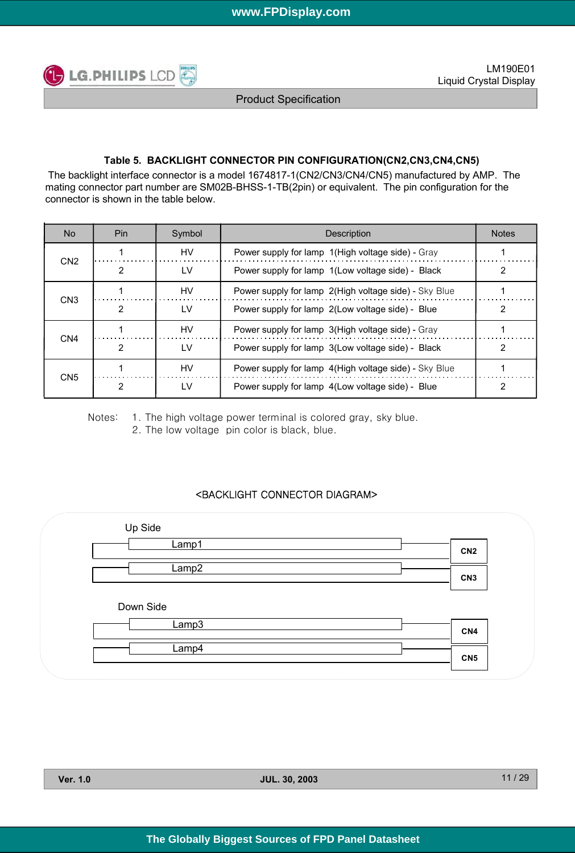

### **Table 5. BACKLIGHT CONNECTOR PIN CONFIGURATION(CN2,CN3,CN4,CN5)**

The backlight interface connector is a model 1674817-1(CN2/CN3/CN4/CN5) manufactured by AMP. The mating connector part number are SM02B-BHSS-1-TB(2pin) or equivalent. The pin configuration for the connector is shown in the table below.

| No.             | Pin. | Symbol    | <b>Description</b>                                    | <b>Notes</b> |
|-----------------|------|-----------|-------------------------------------------------------|--------------|
| CN <sub>2</sub> |      | HV        | Power supply for lamp 1(High voltage side) - Gray     |              |
|                 |      | LV        | Power supply for lamp 1(Low voltage side) - Black     |              |
| CN <sub>3</sub> |      | HV        | Power supply for lamp 2(High voltage side) - Sky Blue |              |
|                 | 2    | LV        | Power supply for lamp 2(Low voltage side) - Blue      | າ            |
| CN <sub>4</sub> |      | <b>HV</b> | Power supply for lamp 3(High voltage side) - Gray     |              |
|                 | 2    | LV        | Power supply for lamp 3(Low voltage side) - Black     |              |
| CN <sub>5</sub> |      | HV        | Power supply for lamp 4(High voltage side) - Sky Blue |              |
|                 |      | LV        | Power supply for lamp 4(Low voltage side) - Blue      | 2            |

Notes: 1. The high voltage power terminal is colored gray, sky blue. 2. The low voltage pin color is black, blue.

### <BACKLIGHT CONNECTOR DIAGRAM>

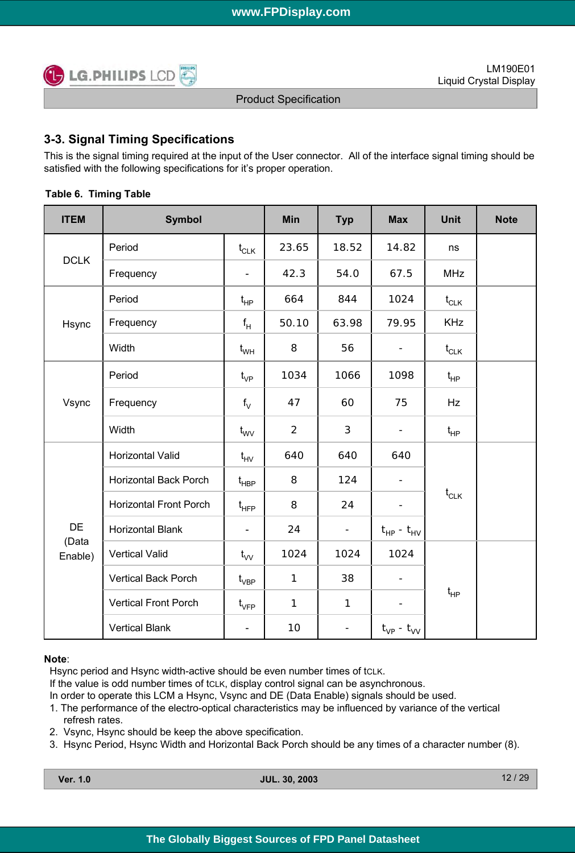

# **3-3. Signal Timing Specifications**

This is the signal timing required at the input of the User connector. All of the interface signal timing should be satisfied with the following specifications for it's proper operation.

| <b>ITEM</b>      | <b>Symbol</b>                 |                                  | Min            | <b>Typ</b>               | <b>Max</b>               | <b>Unit</b> | <b>Note</b> |
|------------------|-------------------------------|----------------------------------|----------------|--------------------------|--------------------------|-------------|-------------|
|                  | Period                        | $\mathfrak{t}_{\texttt{CLK}}$    | 23.65          | 18.52                    | 14.82                    | ns          |             |
| <b>DCLK</b>      | Frequency                     |                                  | 42.3           | 54.0                     | 67.5                     | <b>MHz</b>  |             |
|                  | Period                        | $t_{HP}$                         | 664            | 844                      | 1024                     | $t_{CLK}$   |             |
| Hsync            | Frequency                     | $f_H$                            | 50.10          | 63.98                    | 79.95                    | <b>KHz</b>  |             |
|                  | Width                         | $\mathfrak{t}_{\mathsf{WH}}$     | 8              | 56                       | $\overline{\phantom{a}}$ | $t_{CLK}$   |             |
|                  | Period                        | $t_{VP}$                         | 1034           | 1066                     | 1098                     | $t_{HP}$    |             |
| Vsync            | Frequency                     | $f_V$                            | 47             | 60                       | 75                       | Hz          |             |
|                  | Width                         | $t_{\text{wV}}$                  | $\overline{2}$ | 3                        | $\overline{\phantom{a}}$ | $t_{HP}$    |             |
|                  | Horizontal Valid              | $t_{HV}$                         | 640            | 640                      | 640                      |             |             |
|                  | Horizontal Back Porch         | $\mathfrak{t}_{\texttt{HBP}}$    | 8              | 124                      | $\overline{\phantom{a}}$ |             |             |
|                  | <b>Horizontal Front Porch</b> | $t_{\scriptscriptstyle \sf HFP}$ | 8              | 24                       | $\overline{\phantom{a}}$ | $t_{CLK}$   |             |
| <b>DE</b>        | <b>Horizontal Blank</b>       | $\blacksquare$                   | 24             | $\overline{\phantom{0}}$ | $t_{HP} - t_{HV}$        |             |             |
| (Data<br>Enable) | <b>Vertical Valid</b>         | $t_{VV}$                         | 1024           | 1024                     | 1024                     |             |             |
|                  | <b>Vertical Back Porch</b>    | $\mathfrak{t}_{\mathsf{VBP}}$    | $\mathbf{1}$   | 38                       | $\overline{\phantom{a}}$ |             |             |
|                  | Vertical Front Porch          | $\mathfrak{t}_{\mathsf{VFP}}$    | 1              | $\mathbf{1}$             |                          | $t_{HP}$    |             |
|                  | <b>Vertical Blank</b>         | $\qquad \qquad \blacksquare$     | 10             | $\overline{\phantom{a}}$ | $t_{VP}$ - $t_{VV}$      |             |             |

### **Table 6. Timing Table**

#### **Note**:

Hsync period and Hsync width-active should be even number times of tcLK.

If the value is odd number times of tcLK, display control signal can be asynchronous.

In order to operate this LCM a Hsync, Vsync and DE (Data Enable) signals should be used.

- 1. The performance of the electro-optical characteristics may be influenced by variance of the vertical refresh rates.
- 2. Vsync, Hsync should be keep the above specification.
- 3. Hsync Period, Hsync Width and Horizontal Back Porch should be any times of a character number (8).

| Ver. | 1.0 |
|------|-----|
|      |     |

**Ver. 1.0 JUL. 30, 2003**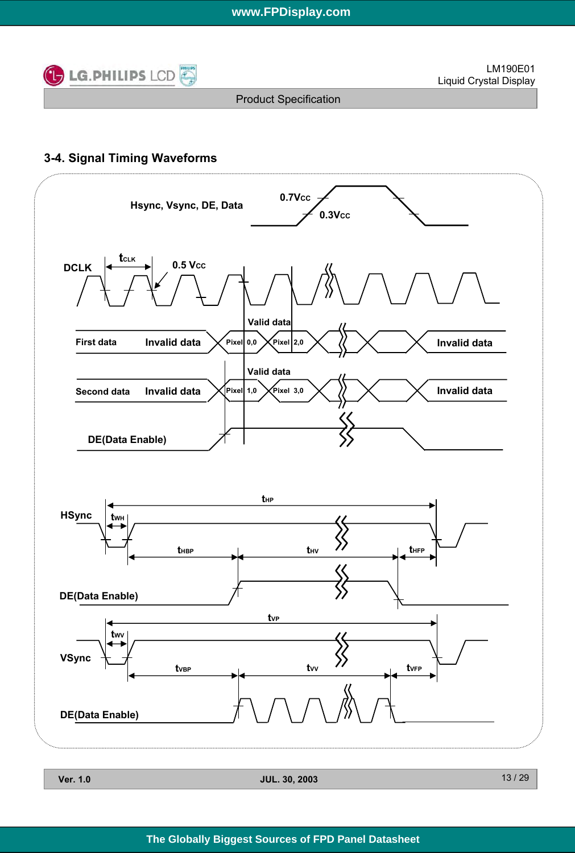

# **3-4. Signal Timing Waveforms**



| $\cdot$ v | JUL. JU, ZUUJ |
|-----------|---------------|
|           |               |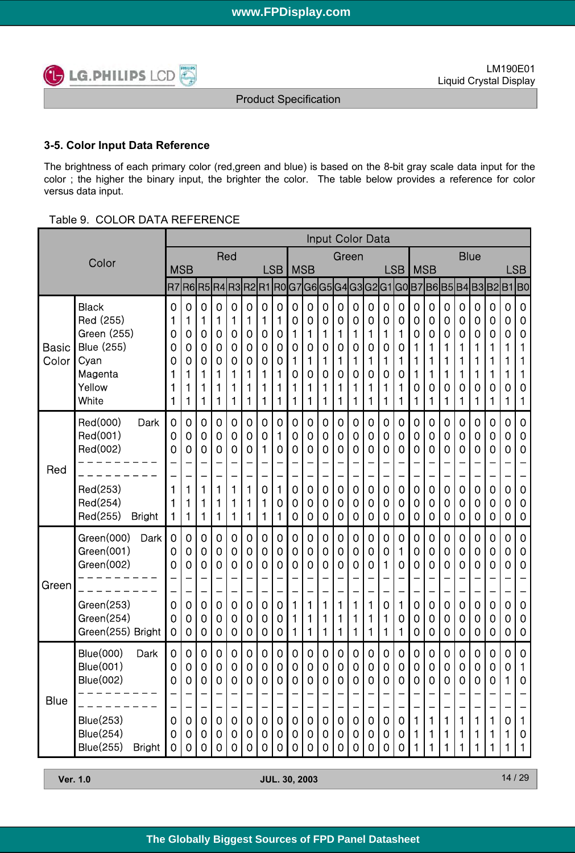

### **3-5. Color Input Data Reference**

The brightness of each primary color (red,green and blue) is based on the 8-bit gray scale data input for the color ; the higher the binary input, the brighter the color. The table below provides a reference for color versus data input.

### Table 9. COLOR DATA REFERENCE

|                       |                                                                                     |                                 |                                      |                                 |                            |                                 |                                 |                                 |                                 |                                 |                                 | <b>Input Color Data</b>         |                                 |                                 |                                 |                                      |                                 |                                           |                                                     |                                                                     |                                 |                                 |                                 |                                 |                                           |
|-----------------------|-------------------------------------------------------------------------------------|---------------------------------|--------------------------------------|---------------------------------|----------------------------|---------------------------------|---------------------------------|---------------------------------|---------------------------------|---------------------------------|---------------------------------|---------------------------------|---------------------------------|---------------------------------|---------------------------------|--------------------------------------|---------------------------------|-------------------------------------------|-----------------------------------------------------|---------------------------------------------------------------------|---------------------------------|---------------------------------|---------------------------------|---------------------------------|-------------------------------------------|
| Color                 |                                                                                     |                                 |                                      |                                 | Red                        |                                 |                                 |                                 |                                 |                                 |                                 |                                 | Green                           |                                 |                                 |                                      |                                 | <b>Blue</b><br><b>MSB</b><br><b>LSB</b>   |                                                     |                                                                     |                                 |                                 |                                 |                                 |                                           |
|                       |                                                                                     | <b>MSB</b>                      | R7 R6 R5                             |                                 |                            |                                 |                                 |                                 | <b>LSB</b>                      | <b>MSB</b>                      |                                 |                                 |                                 |                                 |                                 |                                      | <b>LSB</b>                      |                                           |                                                     |                                                                     |                                 |                                 |                                 |                                 |                                           |
|                       | <b>Black</b>                                                                        | 0                               | 0                                    | 0                               | 0                          | 0                               | 0                               | $\mathbf 0$                     | 0                               | 0                               | 0                               | 0                               | $\mathbf 0$                     | 0                               | 0                               | 0                                    | 0                               | $\mathbf 0$                               | $\mathbf 0$                                         | R4 R3 R2 R1 R0 G7 G6 G5 G4 G3 G2 G1 G0 B7 B6 B5 B4 B3 B2 B1 B0<br>0 | 0                               | 0                               | 0                               | 0                               | $\mathbf 0$                               |
| <b>Basic</b><br>Color | Red (255)<br>Green (255)<br><b>Blue (255)</b><br>Cyan<br>Magenta<br>Yellow<br>White | 1<br>0<br>0<br>0<br>1<br>1<br>1 | 1<br>0<br>0<br>0<br>1<br>1<br>1      | 1<br>0<br>0<br>0<br>1<br>1<br>1 | 1<br>0<br>0<br>0<br>1<br>1 | 1<br>0<br>0<br>0<br>1<br>1<br>1 | 1<br>0<br>0<br>0<br>1<br>1<br>1 | 1<br>0<br>0<br>0<br>1<br>1<br>1 | 1<br>0<br>0<br>0<br>1<br>1<br>1 | 0<br>1<br>0<br>1<br>0<br>1<br>1 | 0<br>1<br>0<br>1<br>0<br>1<br>1 | 0<br>1<br>0<br>1<br>0<br>1<br>1 | 0<br>1<br>0<br>1<br>0<br>1<br>1 | 0<br>1<br>0<br>1<br>0<br>1<br>1 | 0<br>1<br>0<br>1<br>0<br>1<br>1 | 0<br>1<br>0<br>1<br>0<br>1<br>1      | 0<br>1<br>0<br>1<br>0<br>1<br>1 | 0<br>$\mathbf 0$<br>1<br>1<br>1<br>0<br>1 | $\mathbf 0$<br>$\mathbf 0$<br>1<br>1<br>1<br>0<br>1 | 0<br>0<br>1<br>1<br>1<br>0<br>1                                     | 0<br>0<br>1<br>1<br>1<br>0<br>1 | 0<br>0<br>1<br>1<br>1<br>0<br>1 | 0<br>0<br>1<br>1<br>1<br>0<br>1 | 0<br>0<br>1<br>1<br>1<br>0<br>1 | 0<br>$\mathbf 0$<br>1<br>1<br>1<br>0<br>1 |
| Red                   | Red(000)<br>Dark<br>Red(001)<br>Red(002)                                            | 0<br>0<br>0                     | 0<br>0<br>0                          | 0<br>0<br>0                     | 0<br>0<br>0                | 0<br>0<br>0                     | 0<br>0<br>0                     | $\mathbf 0$<br>0<br>1           | $\mathbf 0$<br>1<br>0<br>-      | 0<br>0<br>0                     | 0<br>0<br>0                     | $\mathbf 0$<br>0<br>0           | 0<br>0<br>$\mathbf 0$           | 0<br>0<br>0                     | 0<br>0<br>0                     | $\mathbf 0$<br>0<br>0<br>—           | 0<br>0<br>0                     | $\mathbf 0$<br>0<br>0                     | $\mathbf 0$<br>$\mathbf 0$<br>$\mathbf 0$           | 0<br>0<br>0                                                         | 0<br>0<br>0                     | 0<br>0<br>0                     | 0<br>0<br>0                     | 0<br>0<br>0                     | 0<br>0<br>0                               |
|                       | Red(253)<br>Red(254)<br>Red(255)<br><b>Bright</b>                                   | 1<br>1<br>1                     | 1<br>1<br>1                          | 1<br>1<br>1                     | 1<br>1<br>1                | 1<br>1<br>1                     | 1<br>1<br>1                     | $\mathbf 0$<br>1<br>1           | 1<br>0<br>1                     | 0<br>0<br>0                     | 0<br>0<br>0                     | 0<br>0<br>0                     | $\mathbf 0$<br>0<br>0           | 0<br>0<br>0                     | 0<br>0<br>$\mathbf 0$           | $\mathbf 0$<br>0<br>0                | 0<br>0<br>0                     | $\mathbf 0$<br>0<br>0                     | $\mathbf 0$<br>$\mathbf 0$<br>$\mathbf 0$           | 0<br>0<br>0                                                         | 0<br>0<br>0                     | 0<br>0<br>0                     | 0<br>0<br>0                     | 0<br>0<br>0                     | 0<br>0<br>0                               |
|                       | Green(000)<br>Dark<br>Green(001)<br>Green(002)                                      | $\mathbf 0$<br>0<br>0           | $\mathbf 0$<br>0<br>0                | 0<br>0<br>0                     | 0<br>0<br>0                | 0<br>0<br>0                     | 0<br>0<br>0                     | 0<br>0<br>0                     | $\mathbf 0$<br>0<br>0           | 0<br>0<br>0                     | 0<br>0<br>0                     | $\mathbf 0$<br>0<br>0           | $\mathbf 0$<br>0<br>0           | 0<br>0<br>0                     | 0<br>0<br>0                     | $\mathbf 0$<br>0<br>1                | 0<br>1<br>0                     | $\mathbf 0$<br>0<br>0                     | $\mathbf 0$<br>$\mathbf 0$<br>0                     | 0<br>0<br>0                                                         | 0<br>0<br>0                     | 0<br>0<br>0                     | 0<br>0<br>0                     | 0<br>0<br>0                     | 0<br>0<br>0                               |
| Green                 | Green(253)<br>Green(254)<br>Green(255) Bright                                       | $\mathbf 0$<br>0<br>0           | 0<br>0<br>0                          | 0<br>0<br>0                     | 0<br>0<br>0                | 0<br>0<br>0                     | 0<br>0<br>0                     | $\mathbf 0$<br>0<br>$\mathbf 0$ | 0<br>0<br>$\mathbf 0$           | 1<br>1<br>1                     | 1<br>1<br>1                     | 1<br>1<br>1                     | 1<br>1<br>1                     | 1<br>1<br>1                     | 1<br>1<br>1                     | —<br>0<br>1<br>1                     | 1<br>0<br>1                     | 0<br>0<br>$\mathbf 0$                     | $\mathbf 0$<br>0<br>$\mathbf 0$                     | 0<br>0<br>0                                                         | 0<br>0<br>0                     | 0<br>0<br>0                     | 0<br>0<br>0                     | 0<br>0<br>0                     | 0<br>0<br>$\mathbf 0$                     |
| <b>Blue</b>           | <b>Blue(000)</b><br>Dark<br>Blue(001)<br><b>Blue(002)</b><br><b>Blue(253)</b>       | 0<br>0<br>0<br>$\mathbf 0$      | 0<br>0<br>0<br>$\mathbf 0$           | 0<br>0<br>0<br>$\mathbf 0$      | 0<br>0<br>0<br>$\mathbf 0$ | 0<br>0<br>0<br>$\mathbf 0$      | 0<br>0<br>0<br>0                | 0<br>0<br>0<br>$\pmb{0}$        | 0<br>0<br>0<br>$\pmb{0}$        | 0<br>0<br>0<br>$\mathbf{0}$     | 0<br>0<br>0<br>$\mathbf 0$      | 0<br>0<br>0<br>$\mathbf 0$      | 0<br>0<br>0<br>$\mathbf 0$      | 0<br>0<br>0<br>$\mathbf 0$      | 0<br>0<br>0<br>$\mathbf 0$      | 0<br>0<br>$\mathbf 0$<br>$\mathbf 0$ | 0<br>0<br>0<br>$\mathbf{0}$     | $\mathbf 0$<br>0<br>0<br>$\mathbf{1}$     | $\mathbf 0$<br>0<br>0<br>$\mathbf 1$                | 0<br>0<br>0<br>1                                                    | 0<br>0<br>0<br>1                | 0<br>0<br>0<br>1                | 0<br>0<br>0<br>$\mathbf{1}$     | 0<br>0<br>$\mathbf 0$           | 0<br>1<br>0<br>1                          |
|                       | <b>Blue(254)</b><br><b>Blue(255)</b><br><b>Bright</b>                               | $\mathbf 0$<br>$\pmb{0}$        | $\boldsymbol{0}$<br>$\boldsymbol{0}$ | 0<br>$\mathbf 0$                | $\pmb{0}$<br>$\mathbf 0$   | $\mathbf 0$<br>$\mathbf 0$      | 0<br>0                          | 0<br>$\mathbf 0$                | 0<br>$\mathbf 0$                | 0<br>0                          | 0<br>$\pmb{0}$                  | $\mathbf 0$<br>$\mathbf 0$      | $\mathbf 0$<br>$\mathbf 0$      | 0<br>0                          | $\mathbf 0$<br>$\mathbf 0$      | 0<br>$\mathbf 0$                     | $\mathbf{0}$<br>$\mathbf{0}$    | $\mathbf{1}$<br>$\mathbf{1}$              | 1<br>1                                              | 1<br>1                                                              | 1<br>1                          | 1<br>1                          | 1<br>1                          | 1<br>1                          | 0<br>$\mathbf{1}$                         |

**Ver. 1.0 JUL. 30, 2003**

14 / 29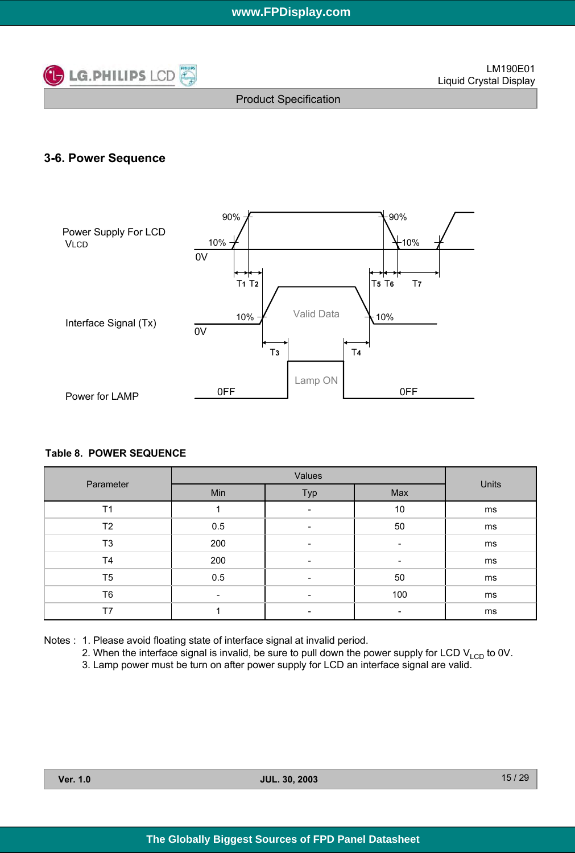

# **3-6. Power Sequence**



#### **Table 8. POWER SEQUENCE**

| Parameter      |                          | Units                    |     |    |
|----------------|--------------------------|--------------------------|-----|----|
|                | Min                      | Typ                      | Max |    |
| T <sub>1</sub> |                          |                          | 10  | ms |
| T <sub>2</sub> | 0.5                      | -                        | 50  | ms |
| T <sub>3</sub> | 200                      | $\overline{\phantom{a}}$ | ۰   | ms |
| T <sub>4</sub> | 200                      | $\overline{\phantom{a}}$ | -   | ms |
| T <sub>5</sub> | 0.5                      | $\overline{\phantom{a}}$ | 50  | ms |
| T <sub>6</sub> | $\overline{\phantom{a}}$ | -                        | 100 | ms |
| T7             |                          | $\overline{\phantom{a}}$ | -   | ms |

Notes : 1. Please avoid floating state of interface signal at invalid period.

2. When the interface signal is invalid, be sure to pull down the power supply for LCD  $V_{\text{LCD}}$  to 0V.

3. Lamp power must be turn on after power supply for LCD an interface signal are valid.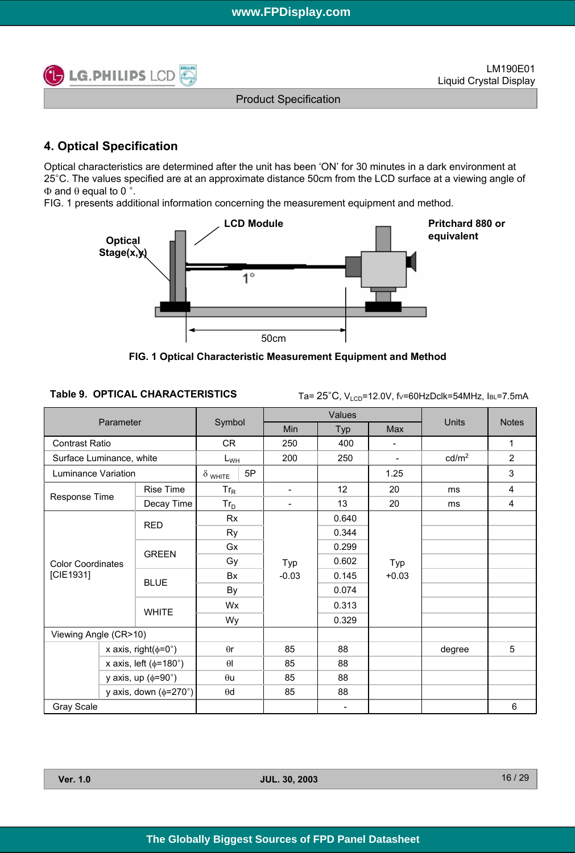

# **4. Optical Specification**

Optical characteristics are determined after the unit has been 'ON' for 30 minutes in a dark environment at 25°C. The values specified are at an approximate distance 50cm from the LCD surface at a viewing angle of  $Φ$  and  $θ$  equal to 0 °.

FIG. 1 presents additional information concerning the measurement equipment and method.



**FIG. 1 Optical Characteristic Measurement Equipment and Method**

### Table 9. OPTICAL CHARACTERISTICS Ta= 25°C, V<sub>LCD</sub>=12.0V, fv=60HzDclk=54MHz, lBL=7.5mA

|                              |  |                                   |                |        |                          | Values |            |                   |                |
|------------------------------|--|-----------------------------------|----------------|--------|--------------------------|--------|------------|-------------------|----------------|
| Parameter                    |  |                                   |                | Symbol |                          | Typ    | <b>Max</b> | <b>Units</b>      | <b>Notes</b>   |
| <b>Contrast Ratio</b>        |  |                                   | CR.            |        | 250                      | 400    | -          |                   | 1              |
| Surface Luminance, white     |  |                                   | $L_{WH}$       |        | 200                      | 250    |            | cd/m <sup>2</sup> | $\overline{2}$ |
| Luminance Variation          |  |                                   | $\delta$ white | 5P     |                          |        | 1.25       |                   | 3              |
|                              |  | <b>Rise Time</b>                  | $Tr_R$         |        | $\overline{\phantom{a}}$ | 12     | 20         | ms                | 4              |
| Response Time                |  | Decay Time                        | $Tr_D$         |        | $\overline{\phantom{a}}$ | 13     | 20         | ms                | 4              |
|                              |  |                                   | Rx             |        |                          | 0.640  |            |                   |                |
|                              |  | <b>RED</b>                        | <b>Ry</b>      |        |                          | 0.344  |            |                   |                |
|                              |  | <b>GREEN</b>                      | Gx             |        |                          | 0.299  |            |                   |                |
| <b>Color Coordinates</b>     |  |                                   | Gy<br>Bx       |        | Typ                      | 0.602  | Typ        |                   |                |
| [CIE1931]                    |  |                                   |                |        | $-0.03$                  | 0.145  | $+0.03$    |                   |                |
|                              |  | <b>BLUE</b>                       | By             |        |                          | 0.074  |            |                   |                |
|                              |  | <b>WHITE</b>                      | <b>Wx</b>      |        |                          | 0.313  |            |                   |                |
|                              |  |                                   | Wy             |        |                          | 0.329  |            |                   |                |
| Viewing Angle (CR>10)        |  |                                   |                |        |                          |        |            |                   |                |
| x axis, right( $\phi$ =0°)   |  | $\theta$ r                        |                | 85     | 88                       |        | degree     | 5                 |                |
| x axis, left ( $\phi$ =180°) |  | $\theta$                          |                | 85     | 88                       |        |            |                   |                |
|                              |  | y axis, up $(\phi = 90^\circ)$    | $\theta$ u     |        | 85                       | 88     |            |                   |                |
|                              |  | y axis, down $(\phi = 270^\circ)$ | $\theta$ d     |        | 85                       | 88     |            |                   |                |
| <b>Gray Scale</b>            |  |                                   |                |        |                          | ۰      |            |                   | 6              |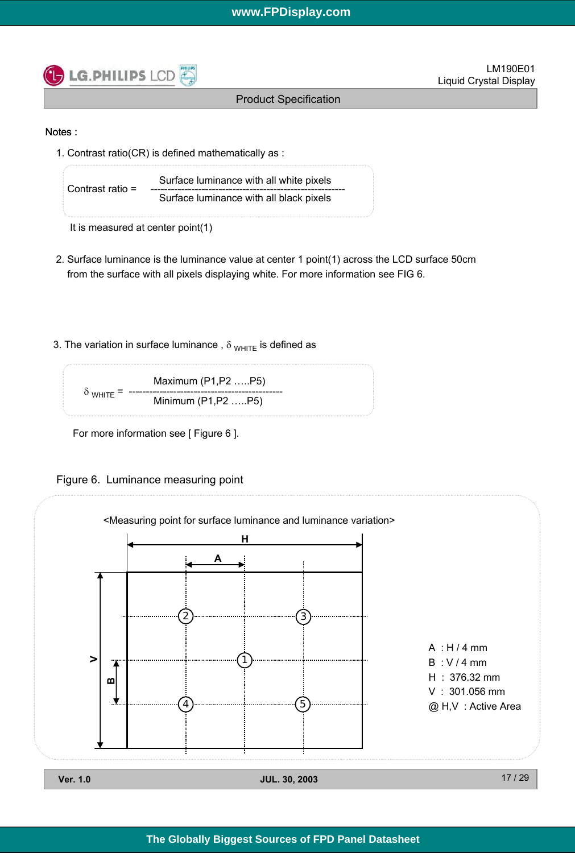

#### Notes :

1. Contrast ratio(CR) is defined mathematically as :

Surface luminance with all white pixels Contrast ratio = --------------------------------------------------------- Surface luminance with all black pixels

It is measured at center point(1)

- 2. Surface luminance is the luminance value at center 1 point(1) across the LCD surface 50cm from the surface with all pixels displaying white. For more information see FIG 6.
- 3. The variation in surface luminance,  $\delta_{WHITE}$  is defined as



For more information see [ Figure 6 ].

Figure 6. Luminance measuring point

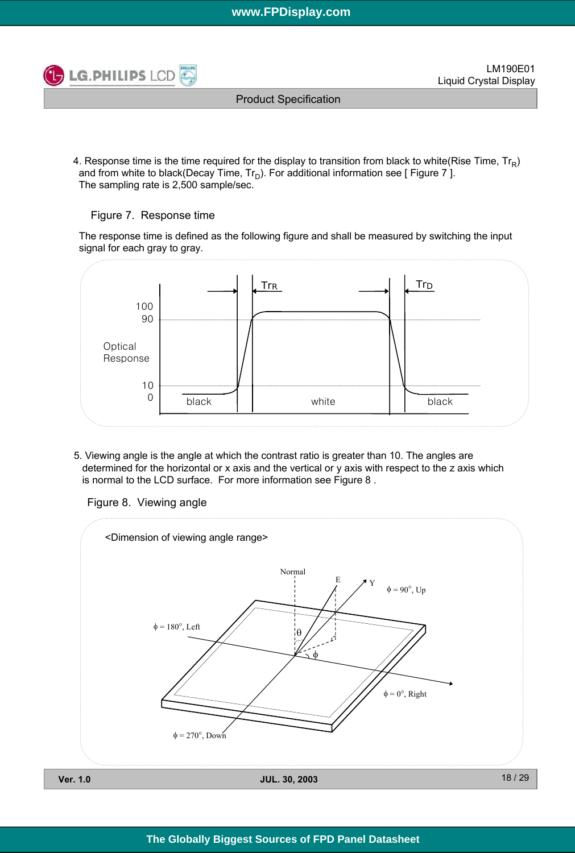

Product Specification

4. Response time is the time required for the display to transition from black to white(Rise Time,  $Tr_{\rm p}$ ) and from white to black(Decay Time,  $Tr_D$ ). For additional information see [ Figure 7 ]. The sampling rate is 2,500 sample/sec.

### Figure 7. Response time

The response time is defined as the following figure and shall be measured by switching the input signal for each gray to gray.



5. Viewing angle is the angle at which the contrast ratio is greater than 10. The angles are determined for the horizontal or x axis and the vertical or y axis with respect to the z axis which is normal to the LCD surface. For more information see Figure 8 .

Figure 8. Viewing angle

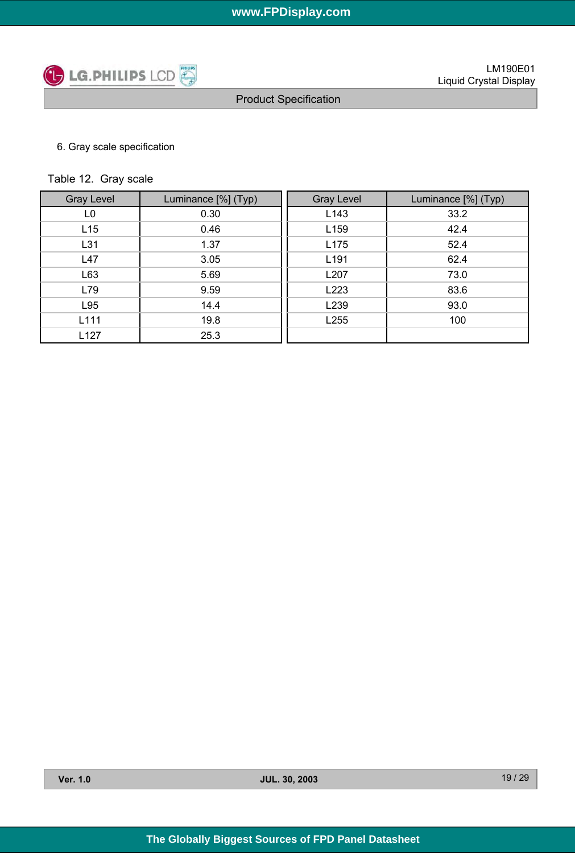

### 6. Gray scale specification

## Table 12. Gray scale

| <b>Gray Level</b> | Luminance [%] (Typ) | <b>Gray Level</b> | Luminance [%] (Typ) |
|-------------------|---------------------|-------------------|---------------------|
| L <sub>0</sub>    | 0.30                | L <sub>143</sub>  | 33.2                |
| L15               | 0.46                | L159              | 42.4                |
| L31               | 1.37                | L175              | 52.4                |
| L47               | 3.05                | L191              | 62.4                |
| L63               | 5.69                | L207              | 73.0                |
| L79               | 9.59                | L223              | 83.6                |
| L95               | 14.4                | L239              | 93.0                |
| L111              | 19.8                | L255              | 100                 |
| L127              | 25.3                |                   |                     |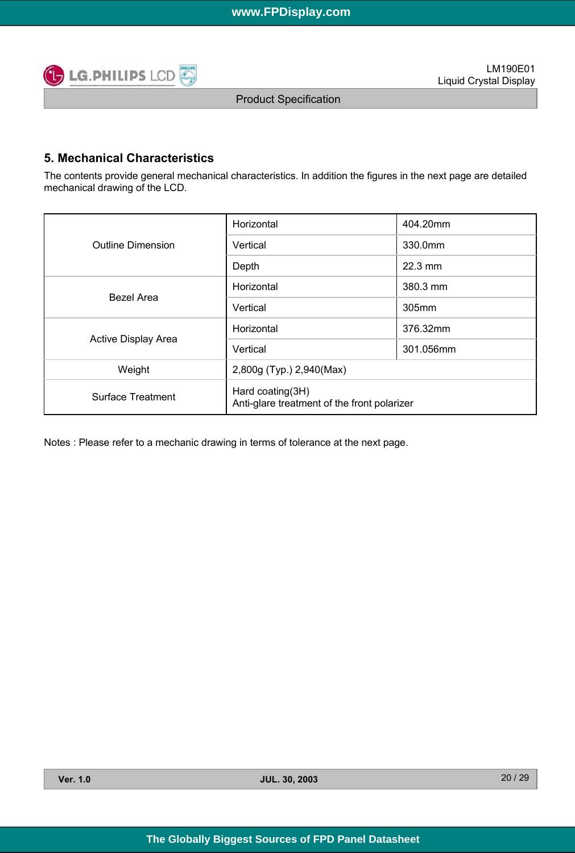

### **5. Mechanical Characteristics**

The contents provide general mechanical characteristics. In addition the figures in the next page are detailed mechanical drawing of the LCD.

|                          | Horizontal                                                      | 404.20mm          |  |  |  |
|--------------------------|-----------------------------------------------------------------|-------------------|--|--|--|
| <b>Outline Dimension</b> | Vertical                                                        | 330.0mm           |  |  |  |
|                          | Depth                                                           | $22.3 \text{ mm}$ |  |  |  |
| Bezel Area               | Horizontal                                                      | 380.3 mm          |  |  |  |
|                          | Vertical                                                        | 305mm             |  |  |  |
|                          | Horizontal                                                      | 376.32mm          |  |  |  |
| Active Display Area      | Vertical                                                        | 301.056mm         |  |  |  |
| Weight                   | 2,800g (Typ.) 2,940(Max)                                        |                   |  |  |  |
| Surface Treatment        | Hard coating(3H)<br>Anti-glare treatment of the front polarizer |                   |  |  |  |

Notes : Please refer to a mechanic drawing in terms of tolerance at the next page.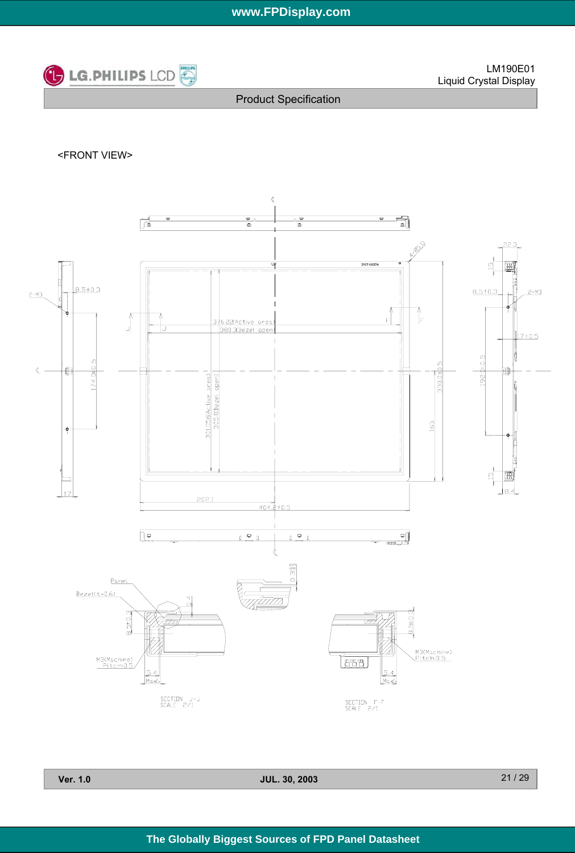

<FRONT VIEW>



**Ver. 1.0 JUL. 30, 2003**

21 / 29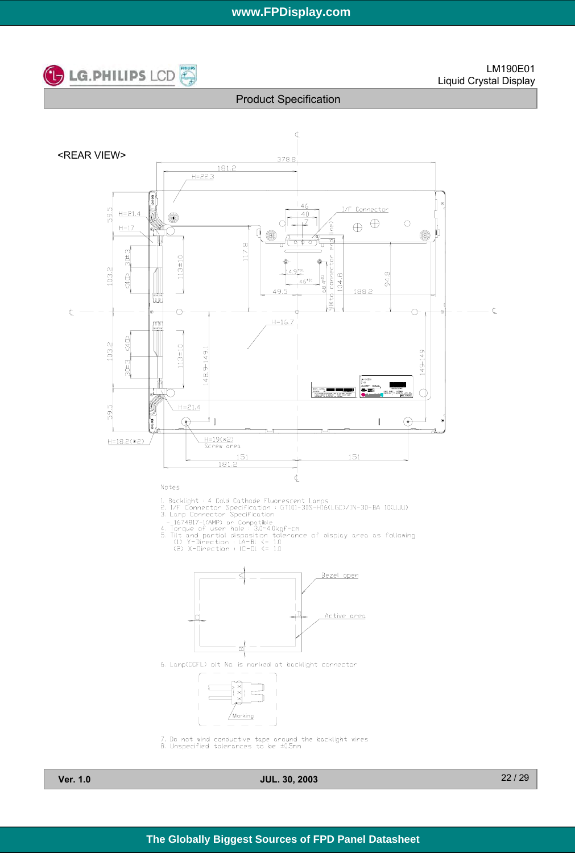

Product Specification



**Ver. 1.0 JUL. 30, 2003**

22 / 29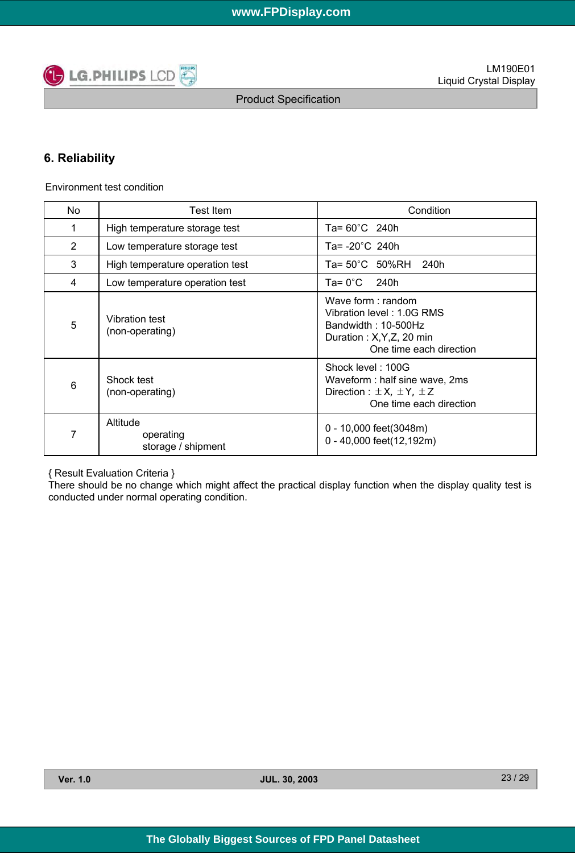

# **6. Reliability**

Environment test condition

| No              | Test Item                                   | Condition                                                                                                                        |  |  |  |
|-----------------|---------------------------------------------|----------------------------------------------------------------------------------------------------------------------------------|--|--|--|
| 1               | High temperature storage test               | Ta= 60°C 240h                                                                                                                    |  |  |  |
| $\overline{2}$  | Low temperature storage test                | Ta= -20°C 240h                                                                                                                   |  |  |  |
| 3               | High temperature operation test             | Ta= 50°C 50%RH<br>240h                                                                                                           |  |  |  |
| 4               | Low temperature operation test              | Ta= 0°C<br>240h                                                                                                                  |  |  |  |
| 5               | <b>Vibration test</b><br>(non-operating)    | Wave form: random<br>Vibration level: 1.0G RMS<br>Bandwidth: $10-500$ Hz<br>Duration: X, Y, Z, 20 min<br>One time each direction |  |  |  |
| $6\phantom{1}6$ | Shock test<br>(non-operating)               | Shock level: 100G<br>Waveform : half sine wave, 2ms<br>Direction : $\pm X$ , $\pm Y$ , $\pm Z$<br>One time each direction        |  |  |  |
| 7               | Altitude<br>operating<br>storage / shipment | 0 - 10,000 feet(3048m)<br>0 - 40,000 feet(12,192m)                                                                               |  |  |  |

{ Result Evaluation Criteria }

There should be no change which might affect the practical display function when the display quality test is conducted under normal operating condition.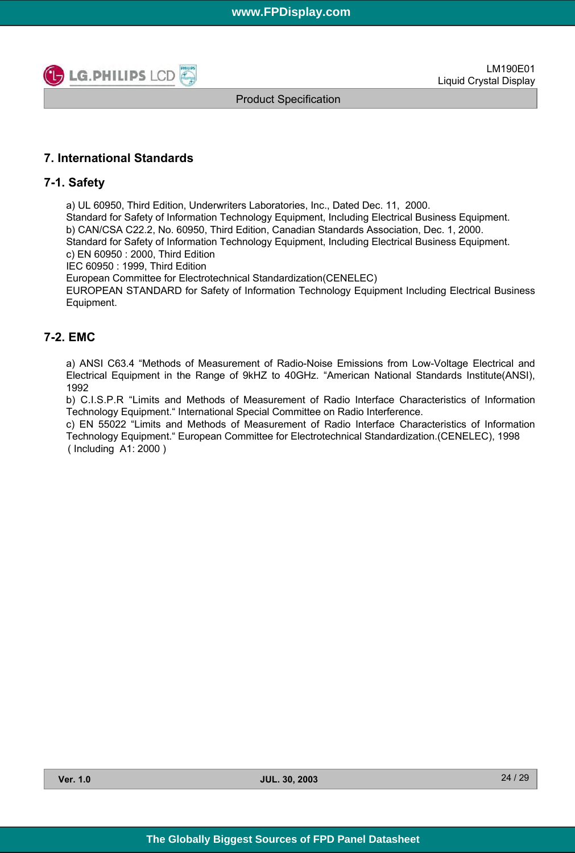

Product Specification

### **7. International Standards**

### **7-1. Safety**

a) UL 60950, Third Edition, Underwriters Laboratories, Inc., Dated Dec. 11, 2000.

Standard for Safety of Information Technology Equipment, Including Electrical Business Equipment. b) CAN/CSA C22.2, No. 60950, Third Edition, Canadian Standards Association, Dec. 1, 2000. Standard for Safety of Information Technology Equipment, Including Electrical Business Equipment. c) EN 60950 : 2000, Third Edition

IEC 60950 : 1999, Third Edition

European Committee for Electrotechnical Standardization(CENELEC)

EUROPEAN STANDARD for Safety of Information Technology Equipment Including Electrical Business Equipment.

### **7-2. EMC**

a) ANSI C63.4 "Methods of Measurement of Radio-Noise Emissions from Low-Voltage Electrical and Electrical Equipment in the Range of 9kHZ to 40GHz. "American National Standards Institute(ANSI), 1992

b) C.I.S.P.R "Limits and Methods of Measurement of Radio Interface Characteristics of Information Technology Equipment." International Special Committee on Radio Interference.

c) EN 55022 "Limits and Methods of Measurement of Radio Interface Characteristics of Information Technology Equipment." European Committee for Electrotechnical Standardization.(CENELEC), 1998 ( Including A1: 2000 )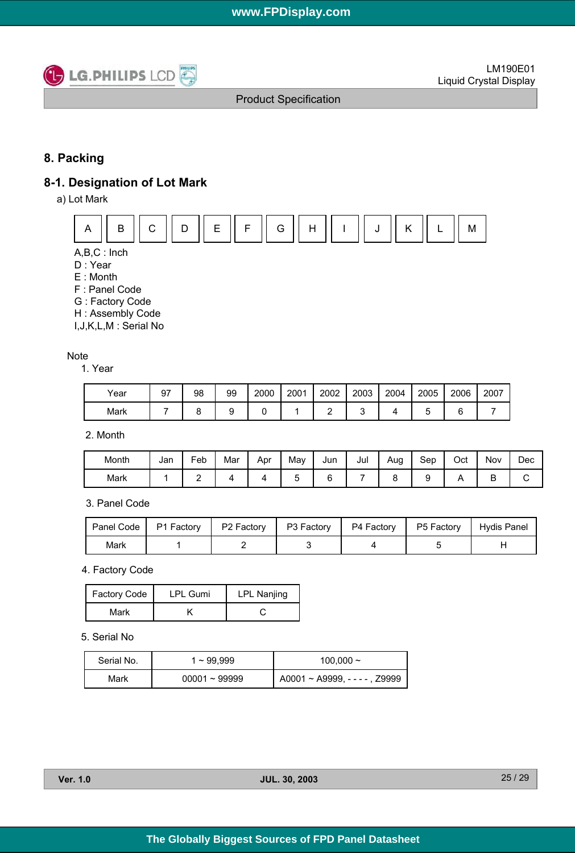

# **8. Packing**

### **8-1. Designation of Lot Mark**

a) Lot Mark



A,B,C : Inch

D : Year

E : Month

F : Panel Code

G : Factory Code

H : Assembly Code

I,J,K,L,M : Serial No

#### **Note**

1. Year

| Year | 97 | 98 | 99 | 2000 | 2001 | 2002 | 2003 | 2004 | 2005 | 2006 | 2007 |
|------|----|----|----|------|------|------|------|------|------|------|------|
| Mark |    |    |    |      |      |      |      |      |      |      |      |

2. Month

| Month | Jan | Feb | Mar | Apr | May | Jun | Jul | Aug | Sep | Oct | Nov | Dec |
|-------|-----|-----|-----|-----|-----|-----|-----|-----|-----|-----|-----|-----|
| Mark  |     | -   |     |     | ∼   |     |     |     |     |     | -   |     |

3. Panel Code

|      | Panel Code   P1 Factory   P2 Factory   P3 Factory   P4 Factory   P5 Factory   Hydis Panel |  |  |
|------|-------------------------------------------------------------------------------------------|--|--|
| Mark |                                                                                           |  |  |

4. Factory Code

| Factory Code | <b>LPL Gumi</b> | <b>LPL Nanjing</b> |
|--------------|-----------------|--------------------|
| Mark         |                 |                    |

#### 5. Serial No

| Serial No. | 1~99.999        | 100,000 $\sim$                       |  |  |  |
|------------|-----------------|--------------------------------------|--|--|--|
| Mark       | $00001 - 99999$ | $A0001 \sim A9999$ , - - - - , Z9999 |  |  |  |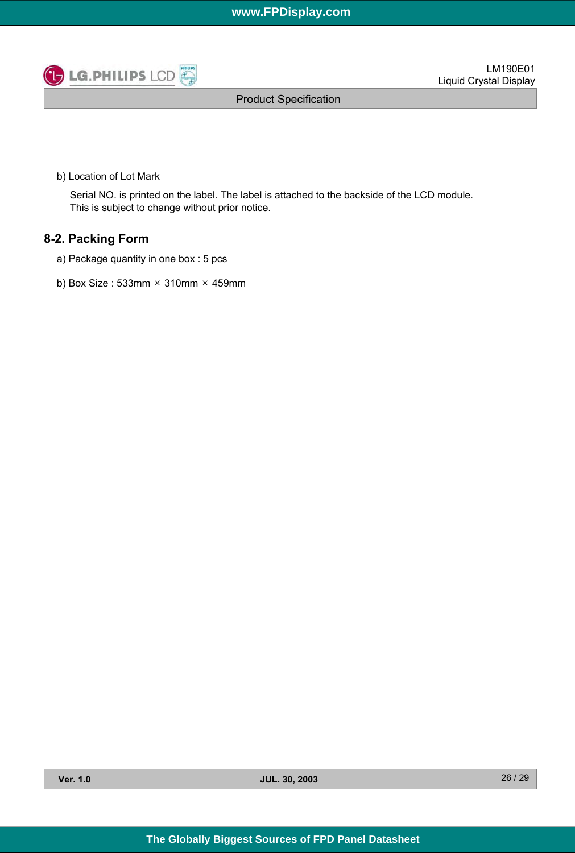

Product Specification

b) Location of Lot Mark

Serial NO. is printed on the label. The label is attached to the backside of the LCD module. This is subject to change without prior notice.

### **8-2. Packing Form**

- a) Package quantity in one box : 5 pcs
- b) Box Size : 533mm  $\times$  310mm  $\times$  459mm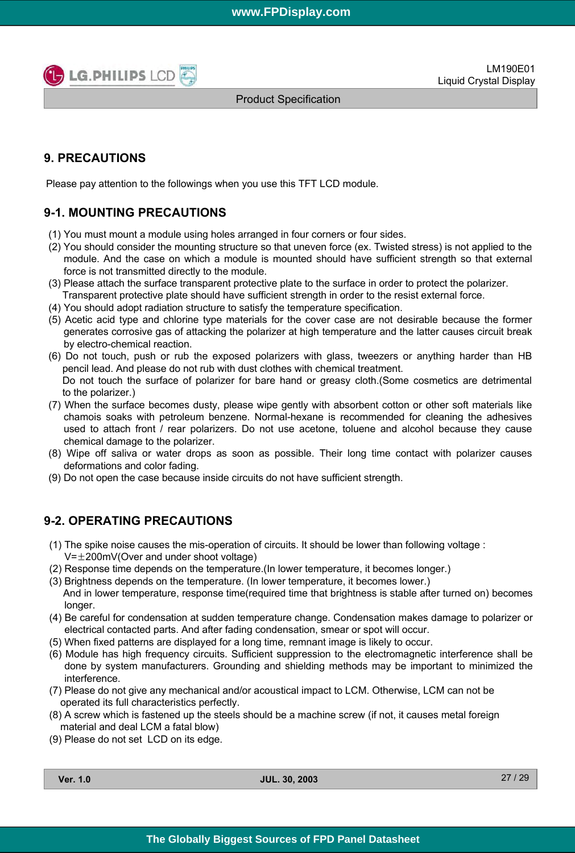

Product Specification

# **9. PRECAUTIONS**

Please pay attention to the followings when you use this TFT LCD module.

# **9-1. MOUNTING PRECAUTIONS**

- (1) You must mount a module using holes arranged in four corners or four sides.
- (2) You should consider the mounting structure so that uneven force (ex. Twisted stress) is not applied to the module. And the case on which a module is mounted should have sufficient strength so that external force is not transmitted directly to the module.
- (3) Please attach the surface transparent protective plate to the surface in order to protect the polarizer. Transparent protective plate should have sufficient strength in order to the resist external force.
- (4) You should adopt radiation structure to satisfy the temperature specification.
- (5) Acetic acid type and chlorine type materials for the cover case are not desirable because the former generates corrosive gas of attacking the polarizer at high temperature and the latter causes circuit break by electro-chemical reaction.
- (6) Do not touch, push or rub the exposed polarizers with glass, tweezers or anything harder than HB pencil lead. And please do not rub with dust clothes with chemical treatment. Do not touch the surface of polarizer for bare hand or greasy cloth.(Some cosmetics are detrimental to the polarizer.)
- (7) When the surface becomes dusty, please wipe gently with absorbent cotton or other soft materials like chamois soaks with petroleum benzene. Normal-hexane is recommended for cleaning the adhesives used to attach front / rear polarizers. Do not use acetone, toluene and alcohol because they cause chemical damage to the polarizer.
- (8) Wipe off saliva or water drops as soon as possible. Their long time contact with polarizer causes deformations and color fading.
- (9) Do not open the case because inside circuits do not have sufficient strength.

### **9-2. OPERATING PRECAUTIONS**

- (1) The spike noise causes the mis-operation of circuits. It should be lower than following voltage :  $V=\pm 200$ mV(Over and under shoot voltage)
- (2) Response time depends on the temperature.(In lower temperature, it becomes longer.)
- (3) Brightness depends on the temperature. (In lower temperature, it becomes lower.) And in lower temperature, response time(required time that brightness is stable after turned on) becomes longer.
- (4) Be careful for condensation at sudden temperature change. Condensation makes damage to polarizer or electrical contacted parts. And after fading condensation, smear or spot will occur.
- (5) When fixed patterns are displayed for a long time, remnant image is likely to occur.
- (6) Module has high frequency circuits. Sufficient suppression to the electromagnetic interference shall be done by system manufacturers. Grounding and shielding methods may be important to minimized the interference.
- (7) Please do not give any mechanical and/or acoustical impact to LCM. Otherwise, LCM can not be operated its full characteristics perfectly.
- (8) A screw which is fastened up the steels should be a machine screw (if not, it causes metal foreign material and deal LCM a fatal blow)
- (9) Please do not set LCD on its edge.

**Ver. 1.0 JUL. 30, 2003**

27 / 29